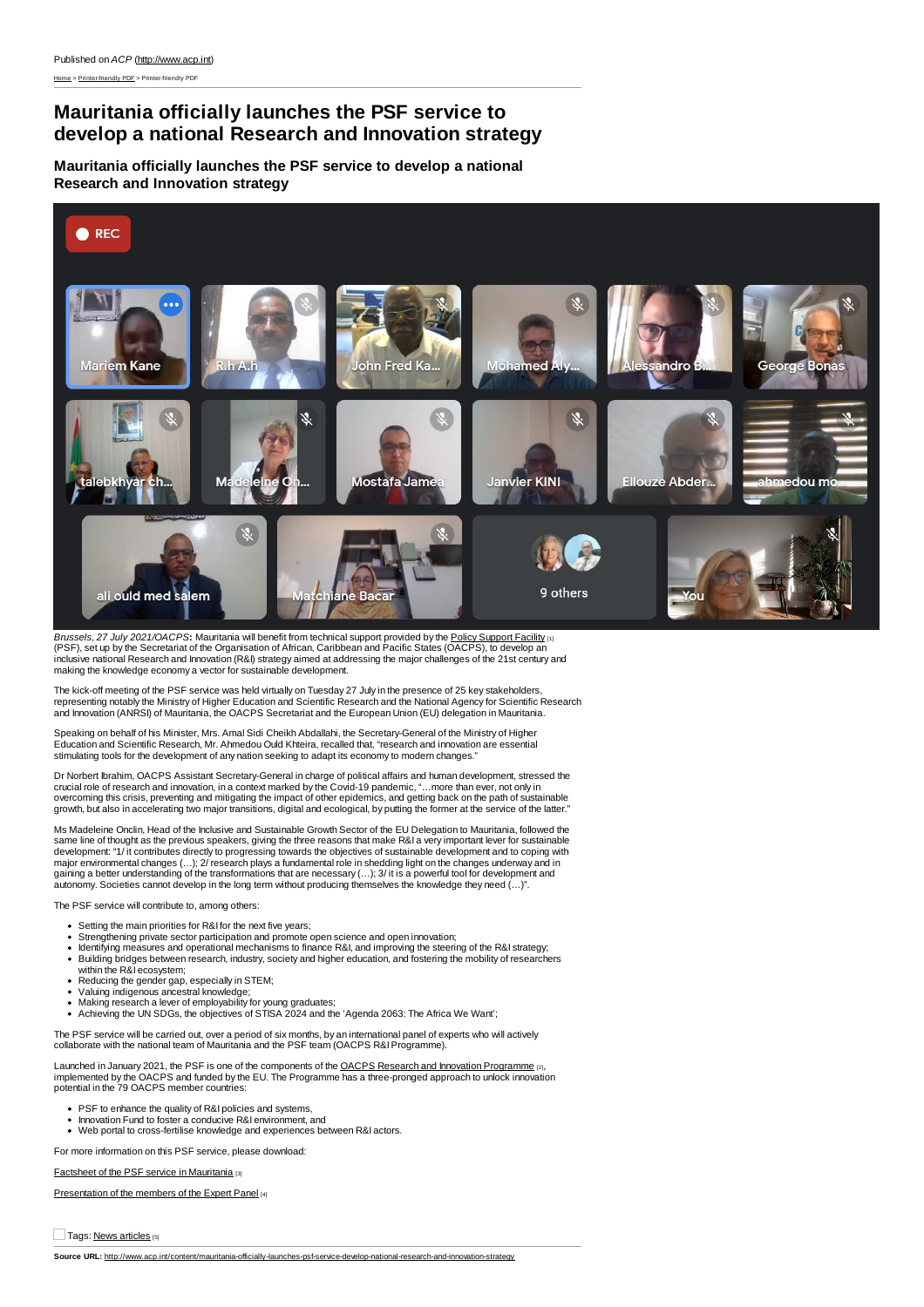## **Mauritania officially launches the PSF service to develop a national Research and Innovation strategy**

**Mauritania officially launches the PSF service to develop a national Research and Innovation strategy**



*Brussels, 27 July 2021/OACPS***:** Mauritania will benefit from technical support provided by the Policy [Support](https://oacps-ri.eu/en/policy-support-facility/) Facility [1] (PSF), set up by the Secretariat of the Organisation of African, Caribbean and Pacific States (OACPS), to develop an<br>inclusive national Research and Innovation (R&I) strategy aimed at addressing the major challenges of the making the knowledge economy a vector for sustainable development.

The kick-off meeting of the PSF service was held virtually on Tuesday 27 July in the presence of 25 key stakeholders,<br>representing notably the Ministry of Higher Education and Scientific Research and the National Agency fo and Innovation (ANRSI) of Mauritania, the OACPS Secretariat and the European Union (EU) delegation in Mauritania.

Speaking on behalf of his Minister, Mrs. Amal Sidi Cheikh Abdallahi, the Secretary-General of the Ministry of Higher Education and Scientific Research, Mr. Ahmedou Ould Khteira, recalled that, "research and innovation are essential stimulating tools for the development of any nation seeking to adapt its economy to modern changes.

Dr Norbert Ibrahim, OACPS Assistant Secretary-General in charge of political affairs and human development, stressed the crucial role of research and innovation, in a context marked by the Covid-19 pandemic, "…more than ever, not only in<br>overcoming this crisis, preventing and mitigating the impact of other epidemics, and getting back on the growth, but also in accelerating two major transitions, digital and ecological, by putting the former at the service of the latter."

Ms Madeleine Onclin, Head of the Inclusive and Sustainable Growth Sector of the EU Delegation to Mauritania, followed the same line of thought as the previous speakers, giving the three reasons that make R&I a very important lever for sustainable<br>same line of thought as the previous speakers, giving the three reasons that make R&I a very impo development: "1/ it contributes directly to progressing towards the objectives of sustainable development and to coping with<br>major environmental changes (…); 2/ research plays a fundamental role in shedding light on the ch gaining a better understanding of the transformations that are necessary (…); 3/ it is a powerful tool for development and<br>autonomy. Societies cannot develop in the long term without producing themselves the knowledge they

The PSF service will contribute to, among others:

- 
- Setting the main priorities for R&I for the next five years;<br>Strengthening private sector participation and promote open science and open innovation;
- ldentifying measures and operational mechanisms to finance R&I, and improving the steering of the R&I strategy;<br>Building bridges between research, industry, society and higher education, and fostering the mobility of resea  $\ddot{\phantom{0}}$
- 
- within the R&I ecosystem;<br>Reducing the gender gap, especially in STEM;
- 
- Valuing indigenous ancestral knowledge;<br>Making research a lever of employability for young graduates;<br>Achieving the UN SDGs, the objectives of STISA 2024 and the 'Agenda 2063: The Africa We Want';

The PSF service will be carried out, over a period of six months, by an international panel of experts who will actively collaborate with the national team of Mauritania and the PSF team (OACPS R&IProgramme).

Launched in January 2021, the PSF is one of the components of the OACPS Research and Innovation [Programme](https://oacps-ri.eu/) [2], implemented by the OACPS and funded by the EU. The Programme has a three-pronged approach to unlock innovation potential in the 79 OACPS member countries:

- 
- PSF to enhance the quality of R&I policies and systems, Innovation Fund to foster a conducive R&I environment, and
- Web portal to cross-fertilise knowledge and experiences between R&I actors.

For more information on this PSF service, please download:

Factsheet of the PSF service in [Mauritania](https://oacps-ri.eu/wp-content/uploads/Presentation-MSP-Mauritanie-FR-1.pdf) [3]

[Presentation](https://oacps-ri.eu/wp-content/uploads/Presentation-Panel-dexperts-MSP-Mauritanie-FR-1.pdf) of the members of the Expert Panel [4]

Tags: News [articles](http://www.acp.int/category/story-type/news-articles) [5]

**Source URL:** <http://www.acp.int/content/mauritania-officially-launches-psf-service-develop-national-research-and-innovation-strategy>